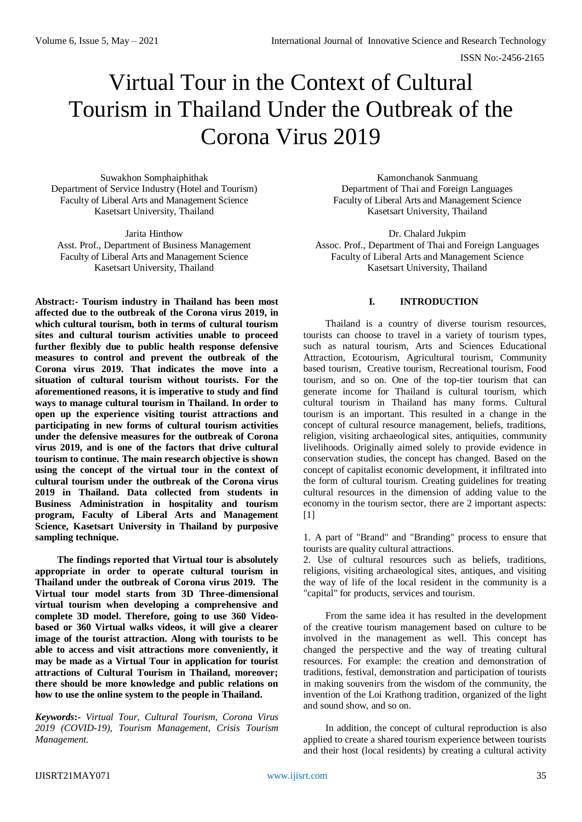# Virtual Tour in the Context of Cultural Tourism in Thailand Under the Outbreak of the Corona Virus 2019

Suwakhon Somphaiphithak Department of Service Industry (Hotel and Tourism) Faculty of Liberal Arts and Management Science Kasetsart University, Thailand

Jarita Hinthow Asst. Prof., Department of Business Management Faculty of Liberal Arts and Management Science Kasetsart University, Thailand

**Abstract:- Tourism industry in Thailand has been most affected due to the outbreak of the Corona virus 2019, in which cultural tourism, both in terms of cultural tourism sites and cultural tourism activities unable to proceed further flexibly due to public health response defensive measures to control and prevent the outbreak of the Corona virus 2019. That indicates the move into a situation of cultural tourism without tourists. For the aforementioned reasons, it is imperative to study and find ways to manage cultural tourism in Thailand. In order to open up the experience visiting tourist attractions and participating in new forms of cultural tourism activities under the defensive measures for the outbreak of Corona virus 2019, and is one of the factors that drive cultural tourism to continue. The main research objective is shown using the concept of the virtual tour in the context of cultural tourism under the outbreak of the Corona virus 2019 in Thailand. Data collected from students in Business Administration in hospitality and tourism program, Faculty of Liberal Arts and Management Science, Kasetsart University in Thailand by purposive sampling technique.**

**The findings reported that Virtual tour is absolutely appropriate in order to operate cultural tourism in Thailand under the outbreak of Corona virus 2019. The Virtual tour model starts from 3D Three-dimensional virtual tourism when developing a comprehensive and complete 3D model. Therefore, going to use 360 Videobased or 360 Virtual walks videos, it will give a clearer image of the tourist attraction. Along with tourists to be able to access and visit attractions more conveniently, it may be made as a Virtual Tour in application for tourist attractions of Cultural Tourism in Thailand, moreover; there should be more knowledge and public relations on how to use the online system to the people in Thailand.** 

*Keywords***:-** *Virtual Tour, Cultural Tourism, Corona Virus 2019 (COVID-19), Tourism Management, Crisis Tourism Management.*

Kamonchanok Sanmuang Department of Thai and Foreign Languages Faculty of Liberal Arts and Management Science Kasetsart University, Thailand

Dr. Chalard Jukpim Assoc. Prof., Department of Thai and Foreign Languages Faculty of Liberal Arts and Management Science Kasetsart University, Thailand

## **I. INTRODUCTION**

Thailand is a country of diverse tourism resources, tourists can choose to travel in a variety of tourism types, such as natural tourism, Arts and Sciences Educational Attraction, Ecotourism, Agricultural tourism, Community based tourism, Creative tourism, Recreational tourism, Food tourism, and so on. One of the top-tier tourism that can generate income for Thailand is cultural tourism, which cultural tourism in Thailand has many forms. Cultural tourism is an important. This resulted in a change in the concept of cultural resource management, beliefs, traditions, religion, visiting archaeological sites, antiquities, community livelihoods. Originally aimed solely to provide evidence in conservation studies, the concept has changed. Based on the concept of capitalist economic development, it infiltrated into the form of cultural tourism. Creating guidelines for treating cultural resources in the dimension of adding value to the economy in the tourism sector, there are 2 important aspects: [1]

1. A part of "Brand" and "Branding" process to ensure that tourists are quality cultural attractions.

2. Use of cultural resources such as beliefs, traditions, religions, visiting archaeological sites, antiques, and visiting the way of life of the local resident in the community is a "capital" for products, services and tourism.

From the same idea it has resulted in the development of the creative tourism management based on culture to be involved in the management as well. This concept has changed the perspective and the way of treating cultural resources. For example: the creation and demonstration of traditions, festival, demonstration and participation of tourists in making souvenirs from the wisdom of the community, the invention of the Loi Krathong tradition, organized of the light and sound show, and so on.

In addition, the concept of cultural reproduction is also applied to create a shared tourism experience between tourists and their host (local residents) by creating a cultural activity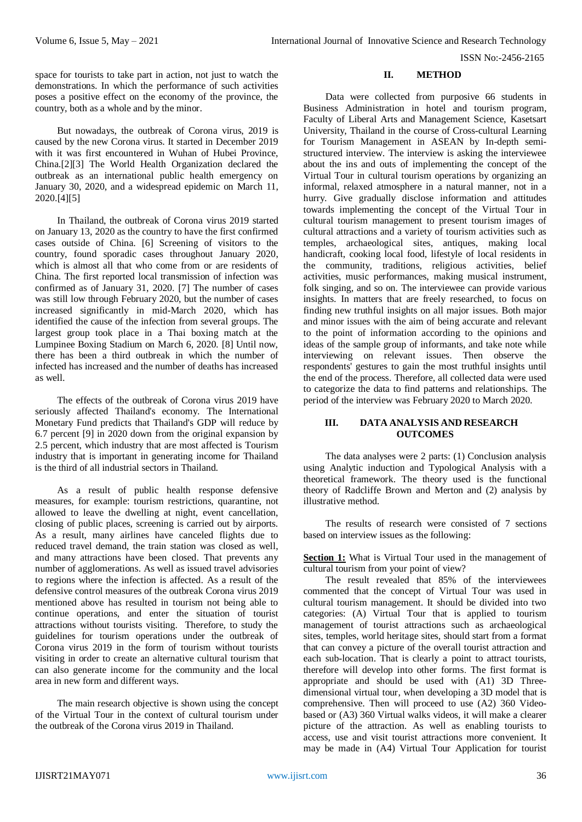space for tourists to take part in action, not just to watch the demonstrations. In which the performance of such activities poses a positive effect on the economy of the province, the country, both as a whole and by the minor.

But nowadays, the outbreak of Corona virus, 2019 is caused by the new Corona virus. It started in December 2019 with it was first encountered in Wuhan of Hubei Province, China.[2][3] The World Health Organization declared the outbreak as an international public health emergency on January 30, 2020, and a widespread epidemic on March 11, 2020.[4][5]

In Thailand, the outbreak of Corona virus 2019 started on January 13, 2020 as the country to have the first confirmed cases outside of China. [6] Screening of visitors to the country, found sporadic cases throughout January 2020, which is almost all that who come from or are residents of China. The first reported local transmission of infection was confirmed as of January 31, 2020. [7] The number of cases was still low through February 2020, but the number of cases increased significantly in mid-March 2020, which has identified the cause of the infection from several groups. The largest group took place in a Thai boxing match at the Lumpinee Boxing Stadium on March 6, 2020. [8] Until now, there has been a third outbreak in which the number of infected has increased and the number of deaths has increased as well.

The effects of the outbreak of Corona virus 2019 have seriously affected Thailand's economy. The International Monetary Fund predicts that Thailand's GDP will reduce by 6.7 percent [9] in 2020 down from the original expansion by 2.5 percent, which industry that are most affected is Tourism industry that is important in generating income for Thailand is the third of all industrial sectors in Thailand.

As a result of public health response defensive measures, for example: tourism restrictions, quarantine, not allowed to leave the dwelling at night, event cancellation, closing of public places, screening is carried out by airports. As a result, many airlines have canceled flights due to reduced travel demand, the train station was closed as well, and many attractions have been closed. That prevents any number of agglomerations. As well as issued travel advisories to regions where the infection is affected. As a result of the defensive control measures of the outbreak Corona virus 2019 mentioned above has resulted in tourism not being able to continue operations, and enter the situation of tourist attractions without tourists visiting. Therefore, to study the guidelines for tourism operations under the outbreak of Corona virus 2019 in the form of tourism without tourists visiting in order to create an alternative cultural tourism that can also generate income for the community and the local area in new form and different ways.

The main research objective is shown using the concept of the Virtual Tour in the context of cultural tourism under the outbreak of the Corona virus 2019 in Thailand.

### **II. METHOD**

Data were collected from purposive 66 students in Business Administration in hotel and tourism program, Faculty of Liberal Arts and Management Science, Kasetsart University, Thailand in the course of Cross-cultural Learning for Tourism Management in ASEAN by In-depth semistructured interview. The interview is asking the interviewee about the ins and outs of implementing the concept of the Virtual Tour in cultural tourism operations by organizing an informal, relaxed atmosphere in a natural manner, not in a hurry. Give gradually disclose information and attitudes towards implementing the concept of the Virtual Tour in cultural tourism management to present tourism images of cultural attractions and a variety of tourism activities such as temples, archaeological sites, antiques, making local handicraft, cooking local food, lifestyle of local residents in the community, traditions, religious activities, belief activities, music performances, making musical instrument, folk singing, and so on. The interviewee can provide various insights. In matters that are freely researched, to focus on finding new truthful insights on all major issues. Both major and minor issues with the aim of being accurate and relevant to the point of information according to the opinions and ideas of the sample group of informants, and take note while interviewing on relevant issues. Then observe the respondents' gestures to gain the most truthful insights until the end of the process. Therefore, all collected data were used to categorize the data to find patterns and relationships. The period of the interview was February 2020 to March 2020.

## **III. DATA ANALYSIS AND RESEARCH OUTCOMES**

The data analyses were 2 parts: (1) Conclusion analysis using Analytic induction and Typological Analysis with a theoretical framework. The theory used is the functional theory of Radcliffe Brown and Merton and (2) analysis by illustrative method.

The results of research were consisted of 7 sections based on interview issues as the following:

Section 1: What is Virtual Tour used in the management of cultural tourism from your point of view?

The result revealed that 85% of the interviewees commented that the concept of Virtual Tour was used in cultural tourism management. It should be divided into two categories: (A) Virtual Tour that is applied to tourism management of tourist attractions such as archaeological sites, temples, world heritage sites, should start from a format that can convey a picture of the overall tourist attraction and each sub-location. That is clearly a point to attract tourists, therefore will develop into other forms. The first format is appropriate and should be used with (A1) 3D Threedimensional virtual tour, when developing a 3D model that is comprehensive. Then will proceed to use (A2) 360 Videobased or (A3) 360 Virtual walks videos, it will make a clearer picture of the attraction. As well as enabling tourists to access, use and visit tourist attractions more convenient. It may be made in (A4) Virtual Tour Application for tourist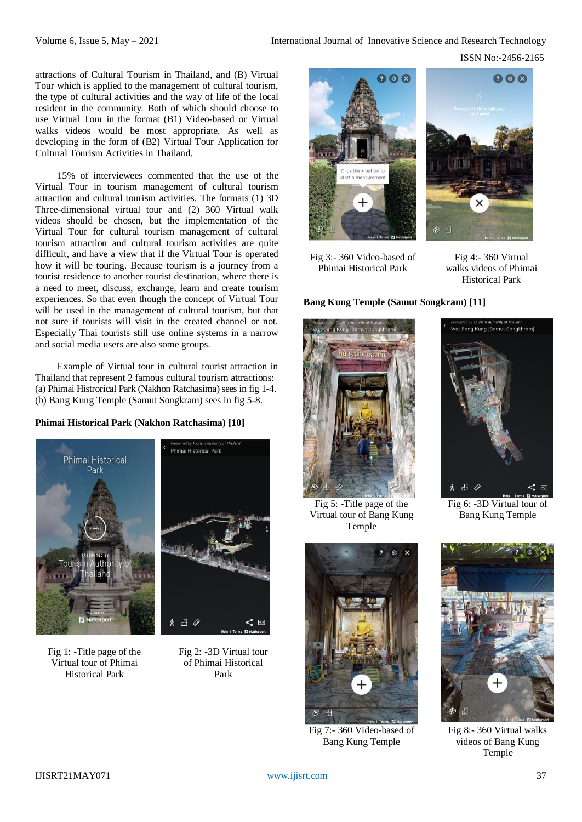attractions of Cultural Tourism in Thailand, and (B) Virtual Tour which is applied to the management of cultural tourism, the type of cultural activities and the way of life of the local resident in the community. Both of which should choose to use Virtual Tour in the format (B1) Video-based or Virtual walks videos would be most appropriate. As well as developing in the form of (B2) Virtual Tour Application for Cultural Tourism Activities in Thailand.

15% of interviewees commented that the use of the Virtual Tour in tourism management of cultural tourism attraction and cultural tourism activities. The formats (1) 3D Three-dimensional virtual tour and (2) 360 Virtual walk videos should be chosen, but the implementation of the Virtual Tour for cultural tourism management of cultural tourism attraction and cultural tourism activities are quite difficult, and have a view that if the Virtual Tour is operated how it will be touring. Because tourism is a journey from a tourist residence to another tourist destination, where there is a need to meet, discuss, exchange, learn and create tourism experiences. So that even though the concept of Virtual Tour will be used in the management of cultural tourism, but that not sure if tourists will visit in the created channel or not. Especially Thai tourists still use online systems in a narrow and social media users are also some groups.

Example of Virtual tour in cultural tourist attraction in Thailand that represent 2 famous cultural tourism attractions: (a) Phimai Histrorical Park (Nakhon Ratchasima) sees in fig 1-4. (b) Bang Kung Temple (Samut Songkram) sees in fig 5-8.

**Phimai Historical Park (Nakhon Ratchasima) [10]**



Fig 1: -Title page of the Virtual tour of Phimai Historical Park



Fig 2: -3D Virtual tour of Phimai Historical Park



Fig 3:- 360 Video-based of Phimai Historical Park



Fig 4:- 360 Virtual walks videos of Phimai Historical Park

## **Bang Kung Temple (Samut Songkram) [11]**





Fig 5: -Title page of the Virtual tour of Bang Kung Temple

Fig 6: -3D Virtual tour of Bang Kung Temple



Fig 7:- 360 Video-based of Bang Kung Temple



Fig 8:- 360 Virtual walks videos of Bang Kung Temple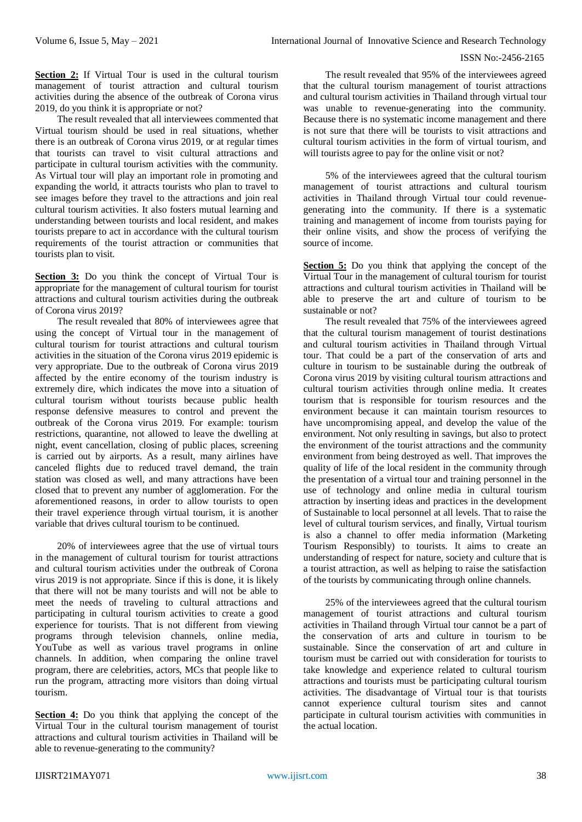**Section 2:** If Virtual Tour is used in the cultural tourism management of tourist attraction and cultural tourism activities during the absence of the outbreak of Corona virus 2019, do you think it is appropriate or not?

The result revealed that all interviewees commented that Virtual tourism should be used in real situations, whether there is an outbreak of Corona virus 2019, or at regular times that tourists can travel to visit cultural attractions and participate in cultural tourism activities with the community. As Virtual tour will play an important role in promoting and expanding the world, it attracts tourists who plan to travel to see images before they travel to the attractions and join real cultural tourism activities. It also fosters mutual learning and understanding between tourists and local resident, and makes tourists prepare to act in accordance with the cultural tourism requirements of the tourist attraction or communities that tourists plan to visit.

**Section 3:** Do you think the concept of Virtual Tour is appropriate for the management of cultural tourism for tourist attractions and cultural tourism activities during the outbreak of Corona virus 2019?

The result revealed that 80% of interviewees agree that using the concept of Virtual tour in the management of cultural tourism for tourist attractions and cultural tourism activities in the situation of the Corona virus 2019 epidemic is very appropriate. Due to the outbreak of Corona virus 2019 affected by the entire economy of the tourism industry is extremely dire, which indicates the move into a situation of cultural tourism without tourists because public health response defensive measures to control and prevent the outbreak of the Corona virus 2019. For example: tourism restrictions, quarantine, not allowed to leave the dwelling at night, event cancellation, closing of public places, screening is carried out by airports. As a result, many airlines have canceled flights due to reduced travel demand, the train station was closed as well, and many attractions have been closed that to prevent any number of agglomeration. For the aforementioned reasons, in order to allow tourists to open their travel experience through virtual tourism, it is another variable that drives cultural tourism to be continued.

20% of interviewees agree that the use of virtual tours in the management of cultural tourism for tourist attractions and cultural tourism activities under the outbreak of Corona virus 2019 is not appropriate. Since if this is done, it is likely that there will not be many tourists and will not be able to meet the needs of traveling to cultural attractions and participating in cultural tourism activities to create a good experience for tourists. That is not different from viewing programs through television channels, online media, YouTube as well as various travel programs in online channels. In addition, when comparing the online travel program, there are celebrities, actors, MCs that people like to run the program, attracting more visitors than doing virtual tourism.

**Section 4:** Do you think that applying the concept of the Virtual Tour in the cultural tourism management of tourist attractions and cultural tourism activities in Thailand will be able to revenue-generating to the community?

The result revealed that 95% of the interviewees agreed that the cultural tourism management of tourist attractions and cultural tourism activities in Thailand through virtual tour was unable to revenue-generating into the community. Because there is no systematic income management and there is not sure that there will be tourists to visit attractions and cultural tourism activities in the form of virtual tourism, and will tourists agree to pay for the online visit or not?

5% of the interviewees agreed that the cultural tourism management of tourist attractions and cultural tourism activities in Thailand through Virtual tour could revenuegenerating into the community. If there is a systematic training and management of income from tourists paying for their online visits, and show the process of verifying the source of income.

**Section 5:** Do you think that applying the concept of the Virtual Tour in the management of cultural tourism for tourist attractions and cultural tourism activities in Thailand will be able to preserve the art and culture of tourism to be sustainable or not?

The result revealed that 75% of the interviewees agreed that the cultural tourism management of tourist destinations and cultural tourism activities in Thailand through Virtual tour. That could be a part of the conservation of arts and culture in tourism to be sustainable during the outbreak of Corona virus 2019 by visiting cultural tourism attractions and cultural tourism activities through online media. It creates tourism that is responsible for tourism resources and the environment because it can maintain tourism resources to have uncompromising appeal, and develop the value of the environment. Not only resulting in savings, but also to protect the environment of the tourist attractions and the community environment from being destroyed as well. That improves the quality of life of the local resident in the community through the presentation of a virtual tour and training personnel in the use of technology and online media in cultural tourism attraction by inserting ideas and practices in the development of Sustainable to local personnel at all levels. That to raise the level of cultural tourism services, and finally, Virtual tourism is also a channel to offer media information (Marketing Tourism Responsibly) to tourists. It aims to create an understanding of respect for nature, society and culture that is a tourist attraction, as well as helping to raise the satisfaction of the tourists by communicating through online channels.

25% of the interviewees agreed that the cultural tourism management of tourist attractions and cultural tourism activities in Thailand through Virtual tour cannot be a part of the conservation of arts and culture in tourism to be sustainable. Since the conservation of art and culture in tourism must be carried out with consideration for tourists to take knowledge and experience related to cultural tourism attractions and tourists must be participating cultural tourism activities. The disadvantage of Virtual tour is that tourists cannot experience cultural tourism sites and cannot participate in cultural tourism activities with communities in the actual location.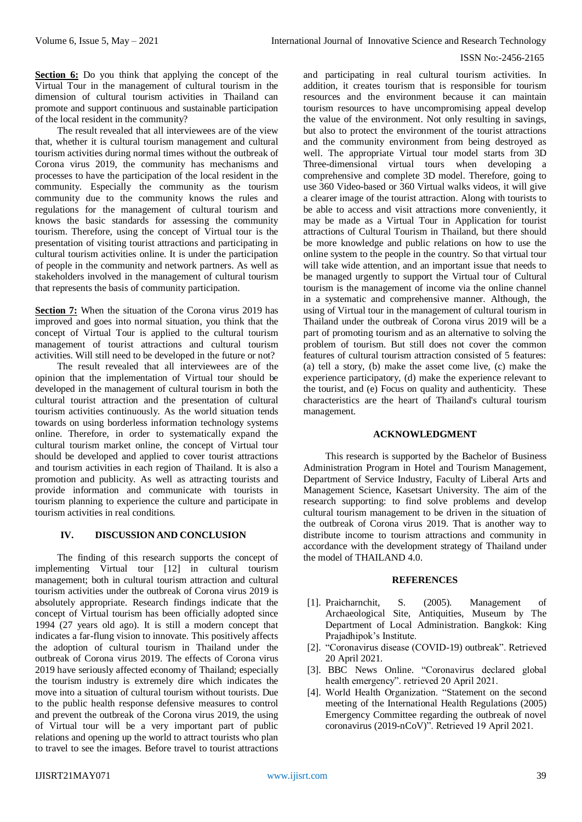**Section 6:** Do you think that applying the concept of the Virtual Tour in the management of cultural tourism in the dimension of cultural tourism activities in Thailand can promote and support continuous and sustainable participation of the local resident in the community?

The result revealed that all interviewees are of the view that, whether it is cultural tourism management and cultural tourism activities during normal times without the outbreak of Corona virus 2019, the community has mechanisms and processes to have the participation of the local resident in the community. Especially the community as the tourism community due to the community knows the rules and regulations for the management of cultural tourism and knows the basic standards for assessing the community tourism. Therefore, using the concept of Virtual tour is the presentation of visiting tourist attractions and participating in cultural tourism activities online. It is under the participation of people in the community and network partners. As well as stakeholders involved in the management of cultural tourism that represents the basis of community participation.

**Section 7:** When the situation of the Corona virus 2019 has improved and goes into normal situation, you think that the concept of Virtual Tour is applied to the cultural tourism management of tourist attractions and cultural tourism activities. Will still need to be developed in the future or not?

The result revealed that all interviewees are of the opinion that the implementation of Virtual tour should be developed in the management of cultural tourism in both the cultural tourist attraction and the presentation of cultural tourism activities continuously. As the world situation tends towards on using borderless information technology systems online. Therefore, in order to systematically expand the cultural tourism market online, the concept of Virtual tour should be developed and applied to cover tourist attractions and tourism activities in each region of Thailand. It is also a promotion and publicity. As well as attracting tourists and provide information and communicate with tourists in tourism planning to experience the culture and participate in tourism activities in real conditions.

## **IV. DISCUSSION AND CONCLUSION**

The finding of this research supports the concept of implementing Virtual tour [12] in cultural tourism management; both in cultural tourism attraction and cultural tourism activities under the outbreak of Corona virus 2019 is absolutely appropriate. Research findings indicate that the concept of Virtual tourism has been officially adopted since 1994 (27 years old ago). It is still a modern concept that indicates a far-flung vision to innovate. This positively affects the adoption of cultural tourism in Thailand under the outbreak of Corona virus 2019. The effects of Corona virus 2019 have seriously affected economy of Thailand; especially the tourism industry is extremely dire which indicates the move into a situation of cultural tourism without tourists. Due to the public health response defensive measures to control and prevent the outbreak of the Corona virus 2019, the using of Virtual tour will be a very important part of public relations and opening up the world to attract tourists who plan to travel to see the images. Before travel to tourist attractions

and participating in real cultural tourism activities. In addition, it creates tourism that is responsible for tourism resources and the environment because it can maintain tourism resources to have uncompromising appeal develop the value of the environment. Not only resulting in savings, but also to protect the environment of the tourist attractions and the community environment from being destroyed as well. The appropriate Virtual tour model starts from 3D Three-dimensional virtual tours when developing a comprehensive and complete 3D model. Therefore, going to use 360 Video-based or 360 Virtual walks videos, it will give a clearer image of the tourist attraction. Along with tourists to be able to access and visit attractions more conveniently, it may be made as a Virtual Tour in Application for tourist attractions of Cultural Tourism in Thailand, but there should be more knowledge and public relations on how to use the online system to the people in the country. So that virtual tour will take wide attention, and an important issue that needs to be managed urgently to support the Virtual tour of Cultural tourism is the management of income via the online channel in a systematic and comprehensive manner. Although, the using of Virtual tour in the management of cultural tourism in Thailand under the outbreak of Corona virus 2019 will be a part of promoting tourism and as an alternative to solving the problem of tourism. But still does not cover the common features of cultural tourism attraction consisted of 5 features: (a) tell a story, (b) make the asset come live, (c) make the experience participatory, (d) make the experience relevant to the tourist, and (e) Focus on quality and authenticity. These characteristics are the heart of Thailand's cultural tourism management.

## **ACKNOWLEDGMENT**

This research is supported by the Bachelor of Business Administration Program in Hotel and Tourism Management, Department of Service Industry, Faculty of Liberal Arts and Management Science, Kasetsart University. The aim of the research supporting: to find solve problems and develop cultural tourism management to be driven in the situation of the outbreak of Corona virus 2019. That is another way to distribute income to tourism attractions and community in accordance with the development strategy of Thailand under the model of THAILAND 4.0.

#### **REFERENCES**

- [1]. Praicharnchit, S. (2005). Management of Archaeological Site, Antiquities, Museum by The Department of Local Administration. Bangkok: King Prajadhipok's Institute.
- [2]. "Coronavirus disease (COVID-19) outbreak". Retrieved 20 April 2021.
- [3]. BBC News Online. "Coronavirus declared global health emergency". retrieved 20 April 2021.
- [4]. World Health Organization. "Statement on the second meeting of the International Health Regulations (2005) Emergency Committee regarding the outbreak of novel coronavirus (2019-nCoV)". Retrieved 19 April 2021.